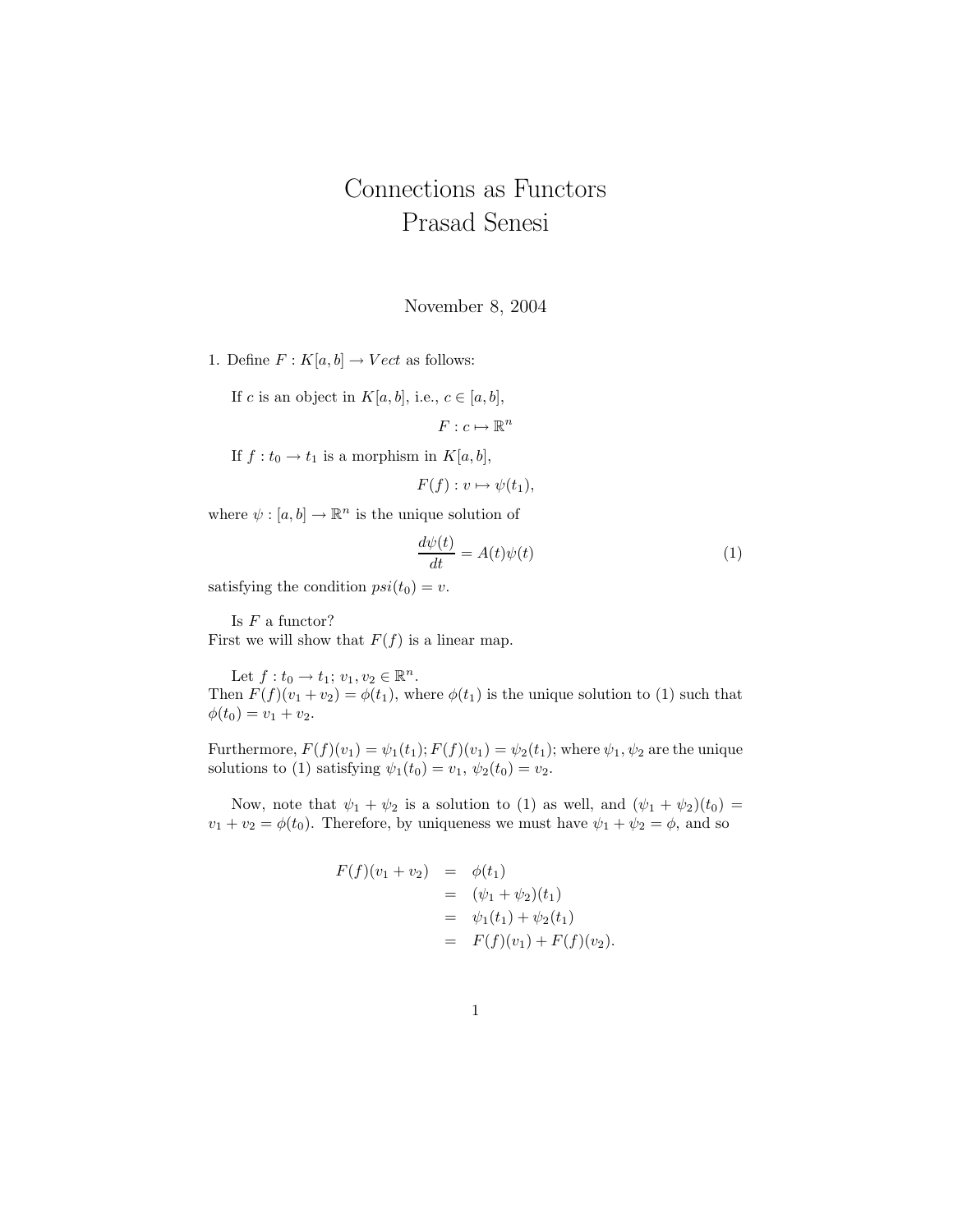## Connections as Functors Prasad Senesi

November 8, 2004

1. Define  $F: K[a, b] \to Vect$  as follows:

If c is an object in  $K[a, b]$ , i.e.,  $c \in [a, b]$ ,

 $F: c \mapsto \mathbb{R}^n$ 

If  $f: t_0 \to t_1$  is a morphism in  $K[a, b],$ 

 $F(f) : v \mapsto \psi(t_1),$ 

where  $\psi : [a, b] \to \mathbb{R}^n$  is the unique solution of

$$
\frac{d\psi(t)}{dt} = A(t)\psi(t) \tag{1}
$$

satisfying the condition  $psi(t_0) = v$ .

Is  $F$  a functor?

First we will show that  $F(f)$  is a linear map.

Let  $f: t_0 \to t_1; v_1, v_2 \in \mathbb{R}^n$ . Then  $F(f)(v_1 + v_2) = \phi(t_1)$ , where  $\phi(t_1)$  is the unique solution to (1) such that  $\phi(t_0) = v_1 + v_2.$ 

Furthermore,  $F(f)(v_1) = \psi_1(t_1); F(f)(v_1) = \psi_2(t_1);$  where  $\psi_1, \psi_2$  are the unique solutions to (1) satisfying  $\psi_1(t_0) = v_1, \psi_2(t_0) = v_2$ .

Now, note that  $\psi_1 + \psi_2$  is a solution to (1) as well, and  $(\psi_1 + \psi_2)(t_0) =$  $v_1 + v_2 = \phi(t_0)$ . Therefore, by uniqueness we must have  $\psi_1 + \psi_2 = \phi$ , and so

$$
F(f)(v_1 + v_2) = \phi(t_1)
$$
  
=  $(\psi_1 + \psi_2)(t_1)$   
=  $\psi_1(t_1) + \psi_2(t_1)$   
=  $F(f)(v_1) + F(f)(v_2).$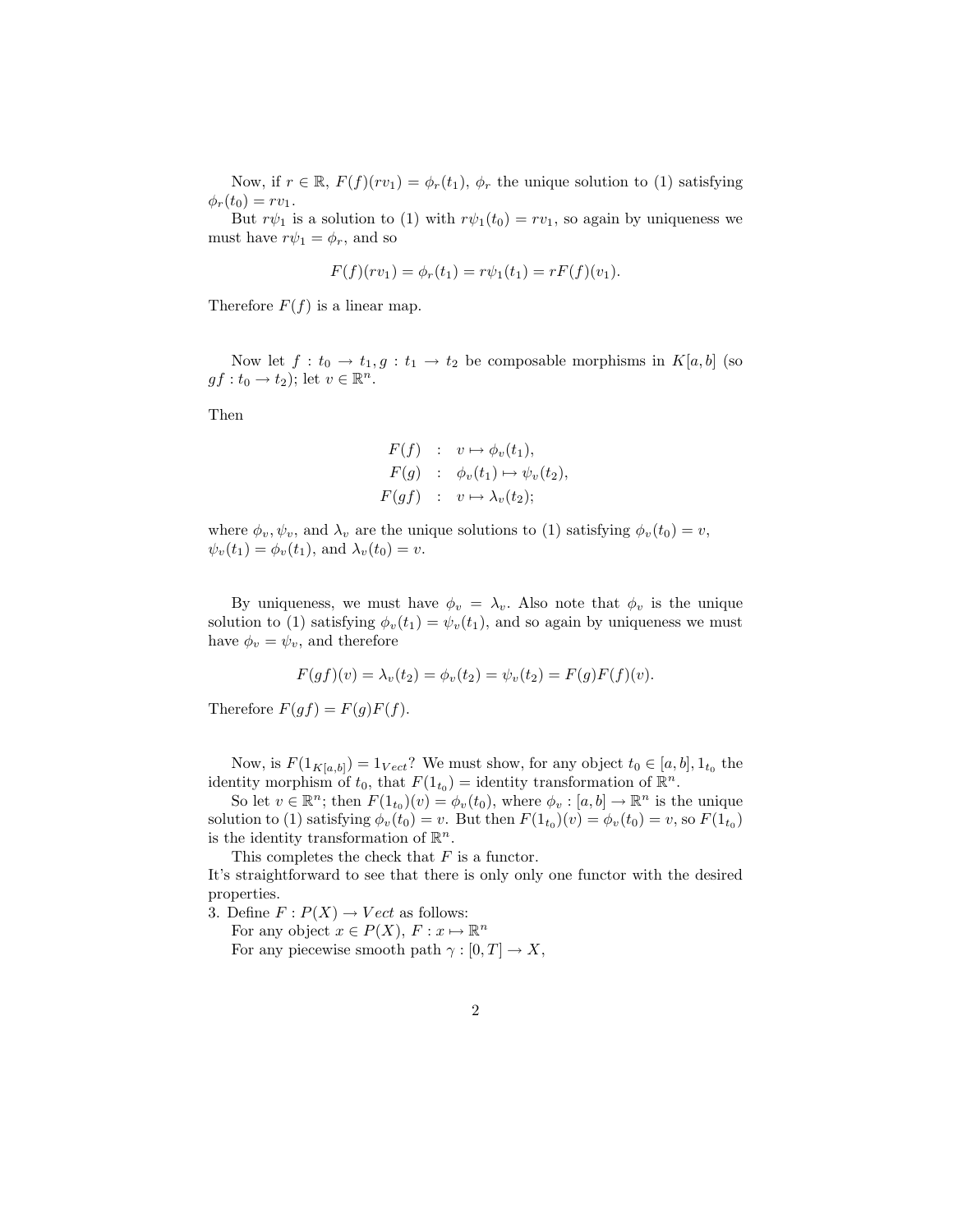Now, if  $r \in \mathbb{R}$ ,  $F(f)(rv_1) = \phi_r(t_1)$ ,  $\phi_r$  the unique solution to (1) satisfying  $\phi_r(t_0) = rv_1.$ 

But  $r\psi_1$  is a solution to (1) with  $r\psi_1(t_0) = rv_1$ , so again by uniqueness we must have  $r\psi_1 = \phi_r$ , and so

$$
F(f)(rv_1) = \phi_r(t_1) = r\psi_1(t_1) = rF(f)(v_1).
$$

Therefore  $F(f)$  is a linear map.

Now let  $f: t_0 \to t_1, g: t_1 \to t_2$  be composable morphisms in  $K[a, b]$  (so  $gf: t_0 \to t_2$ ; let  $v \in \mathbb{R}^n$ .

Then

$$
F(f) : v \mapsto \phi_v(t_1),
$$
  
\n
$$
F(g) : \phi_v(t_1) \mapsto \psi_v(t_2),
$$
  
\n
$$
F(gf) : v \mapsto \lambda_v(t_2);
$$

where  $\phi_v, \psi_v$ , and  $\lambda_v$  are the unique solutions to (1) satisfying  $\phi_v(t_0) = v$ ,  $\psi_v(t_1) = \phi_v(t_1)$ , and  $\lambda_v(t_0) = v$ .

By uniqueness, we must have  $\phi_v = \lambda_v$ . Also note that  $\phi_v$  is the unique solution to (1) satisfying  $\phi_v(t_1) = \psi_v(t_1)$ , and so again by uniqueness we must have  $\phi_v = \psi_v$ , and therefore

$$
F(gf)(v) = \lambda_v(t_2) = \phi_v(t_2) = \psi_v(t_2) = F(g)F(f)(v).
$$

Therefore  $F(gf) = F(g)F(f)$ .

Now, is  $F(1_{K[a,b]}) = 1_{Vect}$ ? We must show, for any object  $t_0 \in [a,b], 1_{t_0}$  the identity morphism of  $t_0$ , that  $F(1_{t_0}) =$  identity transformation of  $\mathbb{R}^n$ .

So let  $v \in \mathbb{R}^n$ ; then  $F(1_{t_0})(v) = \phi_v(t_0)$ , where  $\phi_v : [a, b] \to \mathbb{R}^n$  is the unique solution to (1) satisfying  $\phi_v(t_0) = v$ . But then  $F(1_{t_0})(v) = \phi_v(t_0) = v$ , so  $F(1_{t_0})$ is the identity transformation of  $\mathbb{R}^n$ .

This completes the check that  $F$  is a functor.

It's straightforward to see that there is only only one functor with the desired properties.

3. Define  $F: P(X) \to Vect$  as follows:

For any object  $x \in P(X)$ ,  $F: x \mapsto \mathbb{R}^n$ 

For any piecewise smooth path  $\gamma : [0, T] \to X$ ,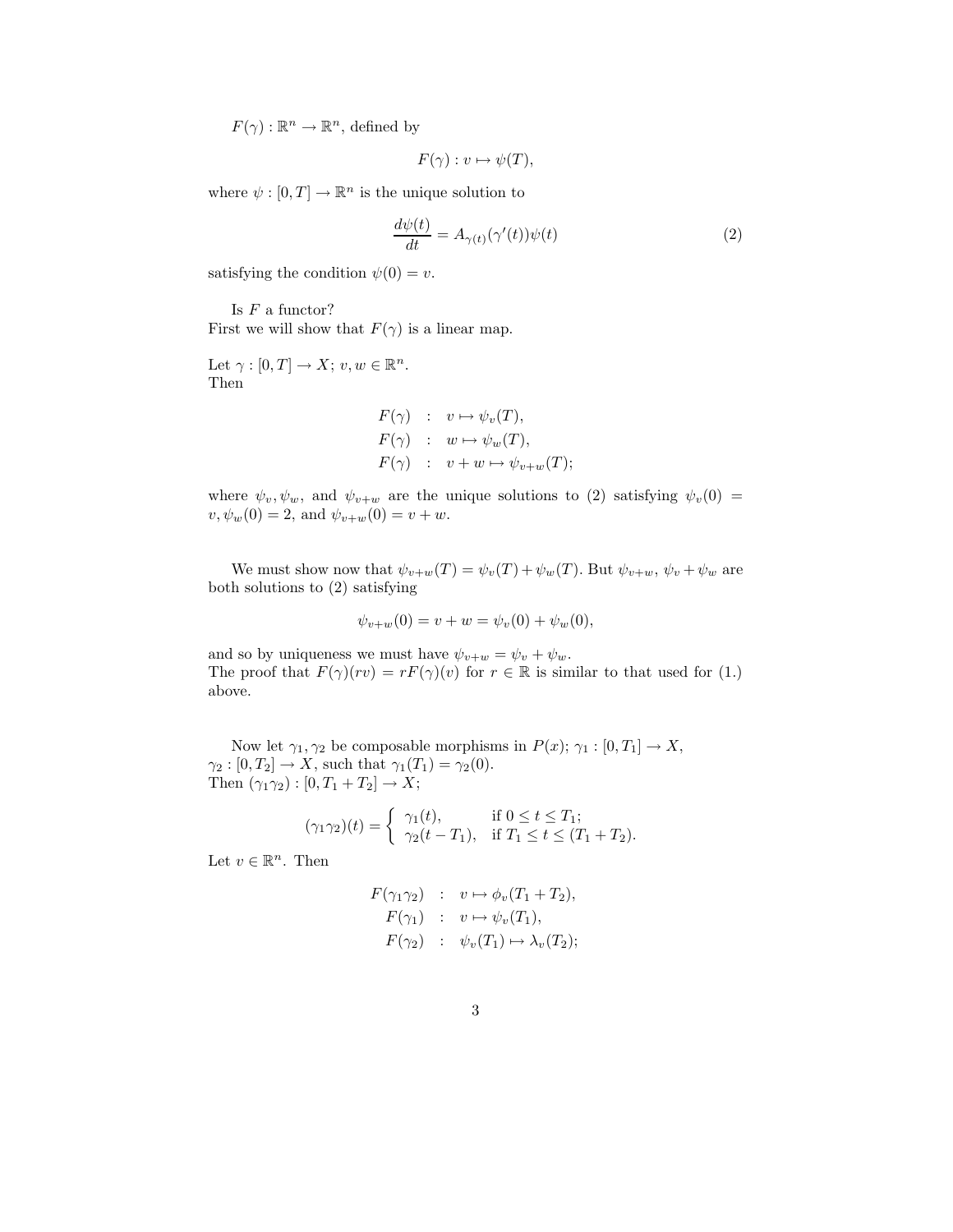$F(\gamma): \mathbb{R}^n \to \mathbb{R}^n$ , defined by

$$
F(\gamma): v \mapsto \psi(T),
$$

where  $\psi : [0, T] \to \mathbb{R}^n$  is the unique solution to

$$
\frac{d\psi(t)}{dt} = A_{\gamma(t)}(\gamma'(t))\psi(t)
$$
\n(2)

satisfying the condition  $\psi(0) = v$ .

Is  $F$  a functor? First we will show that  $F(\gamma)$  is a linear map.

Let  $\gamma : [0, T] \to X$ ;  $v, w \in \mathbb{R}^n$ . Then

$$
F(\gamma) : v \mapsto \psi_v(T),
$$
  
\n
$$
F(\gamma) : w \mapsto \psi_w(T),
$$
  
\n
$$
F(\gamma) : v + w \mapsto \psi_{v+w}(T);
$$

where  $\psi_v, \psi_w$ , and  $\psi_{v+w}$  are the unique solutions to (2) satisfying  $\psi_v(0)$  =  $v, \psi_w(0) = 2$ , and  $\psi_{v+w}(0) = v + w$ .

We must show now that  $\psi_{v+w}(T) = \psi_v(T) + \psi_w(T)$ . But  $\psi_{v+w}, \psi_v + \psi_w$  are both solutions to (2) satisfying

$$
\psi_{v+w}(0) = v + w = \psi_v(0) + \psi_w(0),
$$

and so by uniqueness we must have  $\psi_{v+w} = \psi_v + \psi_w$ . The proof that  $F(\gamma)(rv) = rF(\gamma)(v)$  for  $r \in \mathbb{R}$  is similar to that used for (1.) above.

Now let  $\gamma_1, \gamma_2$  be composable morphisms in  $P(x)$ ;  $\gamma_1 : [0, T_1] \to X$ ,  $\gamma_2 : [0, T_2] \to X$ , such that  $\gamma_1(T_1) = \gamma_2(0)$ . Then  $(\gamma_1 \gamma_2) : [0, T_1 + T_2] \to X;$ 

$$
(\gamma_1 \gamma_2)(t) = \begin{cases} \gamma_1(t), & \text{if } 0 \le t \le T_1; \\ \gamma_2(t - T_1), & \text{if } T_1 \le t \le (T_1 + T_2). \end{cases}
$$

Let  $v \in \mathbb{R}^n$ . Then

$$
F(\gamma_1 \gamma_2) : v \mapsto \phi_v(T_1 + T_2),
$$
  
\n
$$
F(\gamma_1) : v \mapsto \psi_v(T_1),
$$
  
\n
$$
F(\gamma_2) : \psi_v(T_1) \mapsto \lambda_v(T_2);
$$